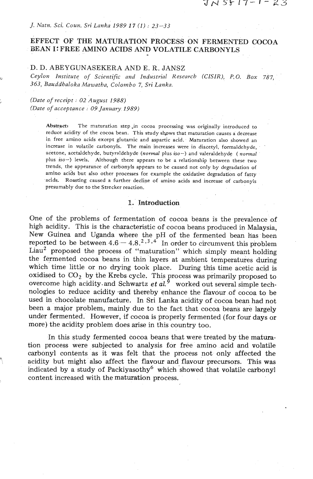#### *J. Natn. Sci. Coun. Sri Lanka 1989 17 (1)* : *23-33*

# **EFFECT OF THE MATURATION PROCESS ON FERMENTED COCOA BEAN I: FREE AMINO ACIDS AND VOLATILE CARBONYLS**

## D. D. ABEYGUNASEKERA AND E. R. JANSZ

**u** *Ceylon Institute of Scientific and Industrial Research (CISZR),* **P.O.** *Box 787, 363, Bauddhaloka Mawatha, Colombo 7, Sri Lanka.* 

# <sup>+</sup>*(Date* **of** *receipt* : *02 August 1988) (Date of acceptance* : *09 January 1989)*

Abstract: The maturation step in cocoa processing was originally introduced to reduce acidity of the cocoa bean. This study shows that maturation causes a decrease in free amino acids except glutamic and aspartic acid. Maturation also showed an increase in volatile carbonyls. The main increases were in diacetyl, formaldehyde, acetone, acetaldehyde. butyraldehyde (normal plus **iso-)** and valeraldehyde ( normal plus *iso-)* levels. Although there appears to be a relationship between these two trends, the appearance of carbonyls appears to be caused not only by degradation of amino acids but also other processes for example the oxidative degradation of fatty acids. Roasting caused a further decline of amino acids and increase of carbonyls presumably due to the Strecker reaction.

## 1. Introduction

One of the problems of fermentation of cocoa beans is the prevalence of high acidity. This is the characteristic of cocoa beans produced in Malaysia, New Guinea and Uganda where the pH of the fermented bean has been eported to be between  $4.6 - 4.8^{2,3,4}$  In order to circumvent this problem reported to be between  $4.6 - 4.8.^{2,3,4}$  In order to circumvent this problem Liau<sup>2</sup> proposed the process of "maturation" which simply meant holding the fermented cocoa beans in thin layers at ambient temperatures during which time little or no drying took place. During this time acetic acid is oxidised to CO<sub>2</sub> by the Krebs cycle. This process was primarily proposed to overcome high acidity and Schwartz *et al.*<sup>9</sup> worked out several simple technologies to reduce acidity .and thereby enhance the flavour of cocoa to be used in chocolate manufacture. In Sri Lanka acidity of cocoa bean had not been a major problem, mainly due to the fact that cocoa beans are largely under fermented. However, if cocoa is properly fermented (for four days or more) the acidity problem does **arise** in this country too.

In this study fermented cocoa beans that were treated by the **matura**tion process were subjected to analysis for free amino acid and volatile carbonyl contents as it was felt that the process not only affected the *7,* acidity but might **also** affect the flavour and flavour precursors. This was indicated by a study of Packiyasothy<sup>6</sup> which showed that volatile carbonyl content increased with the maturation process.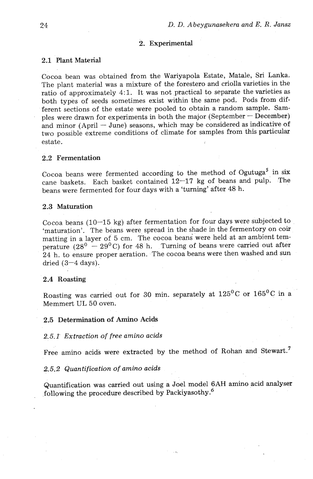#### 2. Experimental

# **2.1** Plant Material

Cocoa bean was obtained from the Wariyapola Estate, Matale, Sri Lanka. The plant material was a mixture of the forestero and criolla varieties in the ratio of approximately **4:l.** It was not practical to separate the varieties as both types of seeds sometimes exist within the same pod. Pods from different sections of the estate were pooled to obtain a random sample. Samples were drawn for experiments in both the major (September  $-$  December) and minor (April - June) seasons, which may be considered as indicative of two possible extreme conditions of climate for samples from this particular estate.

#### **2.2** Fermentation

Cocoa beans were fermented according to the method of  $O$ gutuga<sup>5</sup> in six cane baskets. Each basket contained 12-17 kg of beans and pulp. The beans were fermented for four days with a 'turning' after 48 h.

### **2.3** Maturation

Cocoa beans (10-15 kg) after fermentation for four days were subjected to 'maturation'. The beans were spread in the shade in the fermentory on coir matting in a layer of 5 cm. The cocoa beans were held at an ambient temperature  $(28^0 - 29^0)$  for 48 h. Turning of beans were carried out after 24 h. to ensure proper aeration. The cocoa beans were then washed and sun dried  $(3-4 \text{ days})$ .

#### 2.4 Roasting

Roasting was carried out for 30 min. separately at  $125^{\circ}$ C or  $165^{\circ}$ C in a Memmert UL 50 oven.

## 2.5 Determination of **Amino** Acids

# **2.5.1'** *Extraction of free amino acids*

Free amino acids were extracted by the method of Rohan and Stewart.<sup>7</sup>

#### *2.5.2 Quantification of amino acids*

Quantification was carried out using a Joel model **6AH** amino acid analyser following the procedure described by Packiyasothy. $^6$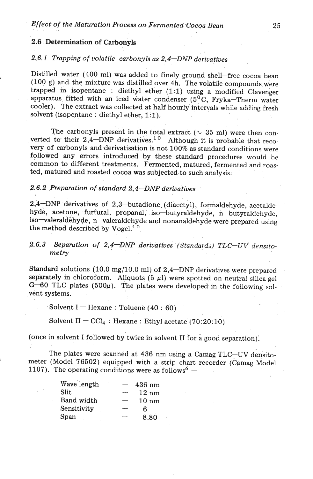# 2.6 Determination of **Carbonyls**

# 2.6.1 *Trapping of volatile carbonyls as 2,4-DNP derivatives*

Distilled water (400 ml) was added to finely ground shell-free cocoa bean (100 g) and the mixture was distilled over  $4h$ . The volatile compounds were trapped in isopentane : diethyl ether (1:l) using a modified Clavenger apparatus fitted with an iced water condenser ( $5\text{°C}$ , Fryka-Therm water cooler). The extract was collected at half hourly intervals while adding fresh solvent (isopentane : diethyl ether, 1:1),

The carbonyls present in the total extract ( $\sim$  35 ml) were then con-The carbonyls present in the total extract ( $\sim$  35 ml) were then converted to their 2,4-DNP derivatives.<sup>10</sup> Although it is probable that recovery of carbonyls and derivatisation is not 100% as standard conditions were followed any errors introduced by these standard procedures would be common to different treatments. Fermented, matured, fermented and roasted, matured and roasted cocoa was subjected to such analysis.

# 2.6.2 *Preparation of standard* 2,4-DNP *derivatives*

2,4-DNP derivatives of 2,3-butadione. (diacetyl), formaldehyde, acetaldehyde, acetone, furfural, propanal, iso-butyraldehyde, n-butyraldehyde, so-valeraldehyde, n-valeraldehyde and nonanaldehyde were prepared using the method described by Vogel.<sup>10</sup>

# 2.6.3 Separation of 2,4–DNP derivatives (Standards) TLC–UV densito $metry$

Standard solutions (10.0 mg/10.0 ml) of  $2,4$ -DNP derivatives were prepared separately in chloroform. Aliquots  $(5 \mu l)$  were spotted on neutral silica gel  $G-60$  TLC plates (500 $\mu$ ). The plates were developed in the following solvent systems.

Solvent I – Hexane : Toluene  $(40:60)$ 

Solvent  $II - CCl_4$ : Hexane: Ethyl acetate (70:20:10)

(once in solvent I followed by twice in solvent II for a good separation).

meter (Model 76502) equipped with a strip chart recorder (Camag Model 107). The operating conditions were as follows<sup>6</sup> -1107). The operating conditions were as follows  $^{6}$  – The plates were scanned at 436 nm using a Camag  $TLC$ -UV densito-

| Wave length | 436 nm          |
|-------------|-----------------|
| Slit        | $12 \text{ nm}$ |
| Band width  | $10 \text{ nm}$ |
| Sensitivity | հ               |
| Span        | 8.80            |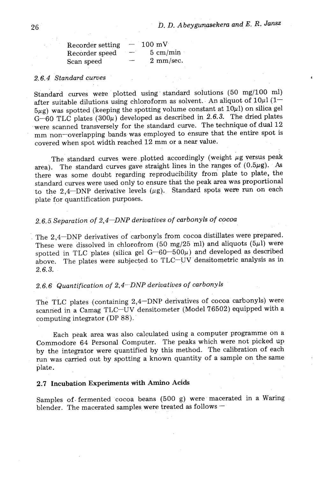| Recorder setting | $100 \text{ mV}$   |
|------------------|--------------------|
| Recorder speed   | $5 \text{ cm/min}$ |
| Scan speed       | $2$ mm/sec.        |

## *2.6.4 Standard curves*

Standard curves were plotted using standard solutions (50 mg/100 ml) after suitable dilutions using chloroform as solvent. An aliquot of  $10\mu$ 1 (1- $5\mu$ g) was spotted (keeping the spotting volume constant at  $10\mu$ l) on silica gel  $G-60$  TLC plates (300 $\mu$ ) developed as described in 2.6.3. The dried plates were scanned transversely for the standard curve. The technique of dual 12 mm non-overlapping bands was employed to ensure that the entire spot is covered when spot width reached 12 mm or a near value.

The standard curves were plotted accordingly (weight  $\mu$ g versus peak area). The standard curves gave straight lines in the ranges of  $(0.5\mu g)$ . As there was some doubt regarding reproducibility from plate to plate, the standard curves were used only to ensure that the peak area **was** proportional to the 2,4-DNP derivative levels  $(\mu g)$ . Standard spots were run on each plate for quantification purposes.

# *2.6.5.Separation of 2,4-DNP derivatives of carbonyls of cocoa*

The 2,4-DNP derivatives of carbonyls from cocoa distillates were prepared. These were dissolved in chlorofrom (50 mg/25 ml) and aliquots (5 $\mu$ l) were spotted in TLC plates (silica gel  $G-60-500\mu$ ) and developed as described above. The plates were subjected to TLC-UV densitometric analysis as in *2.6.3.* 

# *2.6.6 Quantification of 2;4-DNP derivatives of carbonyls*

The TLC plates (containing 2,4-DNP derivatives of cocoa carbonyls) were scanned in a Camag TLC-UV densitometer (Model 76502) equipped with a computing integrator (DP 88).

Each peak area was also calculated using a computer programme on a Commodore 64 Personal Computer. The peaks which were not picked up by the integrator were quantified by this method. The calibration of each run was carried out by spotting a known quantity of a sample on the same plate.

# 2.7 Incubation **Experiments** with Amino **Acids**

Samples of fermented cocoa beans (500 g) were macerated in a Waring<br>blender. The macerated samples were treated as follows —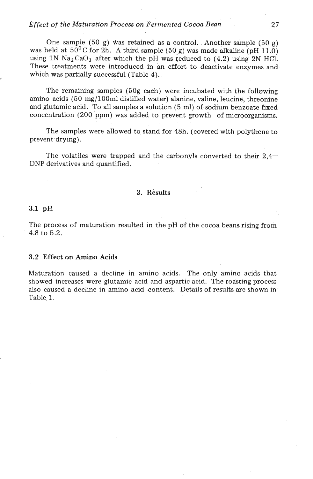## *Effect of the Maturation Process on Fermented Cocoa Bean*

One sample (50 g) Was retained as a control. Another sample (50 g) was held at  $50^0$ C for 2h. A third sample (50 g) was made alkaline (pH 11.0) using  $1N$   $Na<sub>2</sub>CaO<sub>3</sub>$  after which the pH was reduced to (4.2) using 2N HCl. These treatments were introduced in an effort to deactivate enzymes and which was partially successful (Table 4).

The remaining samples (50g each) were incubated with the following amino acids (50 mg/100ml distilled water) alanine, valine, leucine, threonine and glutamic acid. To all samples a solution (5 ml) of sodium benzoate fixed concentration (200 ppm) was added to prevent growth of microorganisms.

The samples were allowed to stand for 48h. (covered with polythene to prevent drying).

The volatiles were trapped and the carbonyls converted to their  $2.4-$ DNP derivatives and quantified.

## **3. Results**

#### $3.1$  pH

The process of maturation resulted in the pH of the cocoa beans rising from 4.8 to 5.2.

#### **3.2 Effect on Amino Acids**

Maturation caused a decline in amino acids. The only amino acids that showed increases were glutamic acid and aspartic acid. The roasting process also caused a decline in amino acid content. Details of results are shown in Table 1.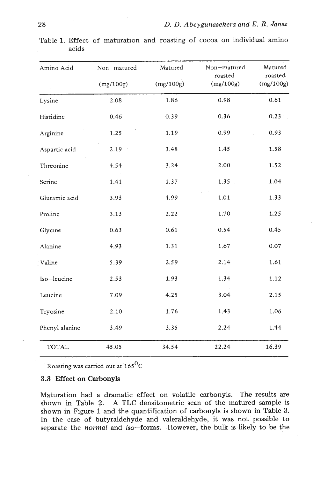| Amino Acid     | Non-matured | Matured   | Non-matured<br>roasted | Matured<br>roasted |
|----------------|-------------|-----------|------------------------|--------------------|
|                | (mg/100g)   | (mg/100g) | (mg/100g)              | (mg/100g)          |
| Lysine         | 2.08        | 1.86      | 0.98                   | 0.61               |
| Histidine      | 0.46        | 0.39      | 0.36                   | 0.23               |
| Arginine       | 1.25        | 1.19      | 0.99                   | 0.93               |
| Aspartic acid  | 2.19        | 3.48      | 1.45                   | 1.58               |
| Threonine      | 4.54        | 3.24      | 2.00                   | 1.52               |
| Serine         | 1.41        | 1.37      | 1.35                   | 1.04               |
| Glutamic acid  | 3.93        | 4.99      | 1.01                   | 1.33               |
| Proline        | 3.13        | 2.22      | 1.70                   | 1.25               |
| Glycine        | 0.63        | 0.61      | 0.54                   | 0.45               |
| Alanine        | 4.93        | 1.31      | 1.67                   | $0.07\,$           |
| Valine         | 5.39        | 2.59      | 2.14                   | 1.61               |
| Iso-leucine    | 2.53        | 1.93      | 1.34                   | 1.12               |
| Leucine        | 7.09        | 4.25      | 3.04                   | 2.15               |
| Tryosine       | 2.10        | 1.76      | 1.43                   | 1.06               |
| Phenyl alanine | 3.49        | 3.35      | 2.24                   | 1.44               |
| <b>TOTAL</b>   | 45.05       | 34.54     | 22.24                  | 16.39              |

Table 1. Effect of maturation and roasting of cocoa on individual amino acids

Roasting was carried out at  $165^{\rm O}$ C

# **3.3** Effect on Carbonyls

Maturation had a dramatic effect on volatile carbonyls. The results are shown in Table 2. **A** TLC densitometric scan of the matured sample is shown in Figure 1 and the quantification of carbonyls is shown in Table **3.**  In the case of butyraldehyde and valeraldehyde, it was not possible to separate the *normal* and *iso*-forms. However, the bulk is likely to be the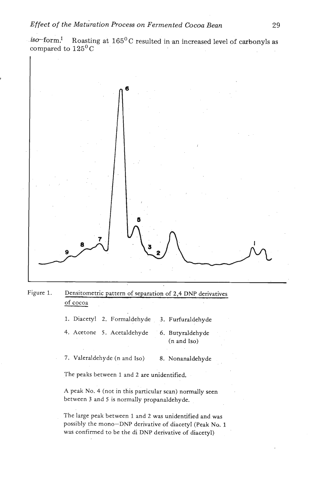*iso-form?* Roasting at 165' C resulted in an increased level *of carbonyls* **as**  compared to  $125^{\circ}$ C



| Figure 1. | Densitometric pattern of separation of 2,4 DNP derivatives |  |
|-----------|------------------------------------------------------------|--|
|           | of cocoa                                                   |  |

1. Diacetyl 2. Formaldehyde **3.** Furfuraldehyde

- 4. Acetone 5. Acetaldehyde *6.* Butyraldehyde (n and Iso)
- 7. Valeraldehyde (n and Iso) 8. Nonanaldehyde

The peaks between 1 and 2 are unidentified.

A peak No. 4 (not in this particular scan) normally seen between **3** and 5 is normally propanaldehyde.

The large peak between 1 and 2 was unidentified and was possibly the mono-DNP derivative of diacetyl (Peak No. 1 was confirmed to be the di DNP derivative of diacetyl)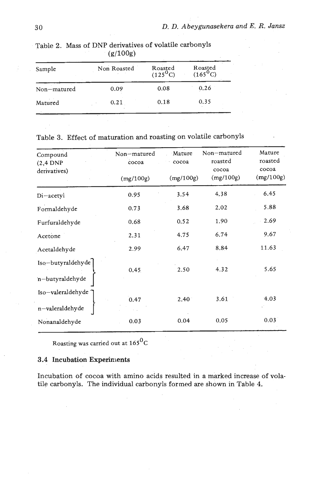| Sample      | Non Roasted | Roasted<br>$(125^{0}C)$ | Roasted<br>$(165^{0}C)$ |
|-------------|-------------|-------------------------|-------------------------|
| Non-matured | 0.09        | 0.08                    | 0.26                    |
| Matured     | 0.21        | 0.18                    | 0.35                    |

**Table 2. Mass of DNP derivatives of volatile carbonyls (g/lOOg)** 

# **Table 3. Effect of maturation and roasting on volatile carbonyls**

| Compound<br>$(2,4$ DNP<br>derivatives) | Non-matured<br>cocoa | Mature<br>cocoa | Non-matured<br>roasted<br>cocoa | Mature<br>roasted<br>cocoa |
|----------------------------------------|----------------------|-----------------|---------------------------------|----------------------------|
|                                        | (mg/100g)            | (mg/100g)       | (mg/100g)                       | (mg/100g)                  |
| Di-acetyl                              | 0.95                 | 3.54            | 4.38                            | 6.45                       |
| Formaldehyde                           | 0.73                 | 3.68            | 2.02                            | 5.88                       |
| Furfuraldehyde                         | 0.68                 | 0.52            | 1.90                            | 2.69                       |
| Acetone                                | 2.31                 | 4.75            | 6.74                            | 9.67                       |
| Acetaldehyde                           | 2.99                 | 6.47            | 8.84                            | 11.63                      |
| Iso-butyraldehyde<br>n-butyraldehyde   | 0.45                 | 2.50            | 4.32                            | 5.65                       |
| Iso-valeraldehyde<br>n-valeraldehyde   | 0.47                 | $2.40^{\circ}$  | 3.61                            | 4.03                       |
| Nonanaldehyde                          | 0.03                 | 0.04            | 0.05                            | 0.03                       |

**<sup>0</sup>Roasting was carried out at 165 C** 

## **3.4 Incubation Experiments**

**Incubation of cocoa with amino acids resulted in a marked increase of volatile carbonyls. The individual carbonyls formed are shown in Table 4.**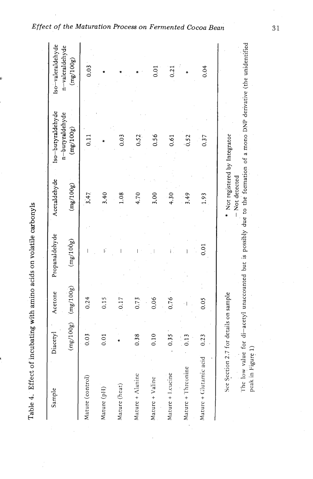| j                  |
|--------------------|
| こうこう えん でてこく りょうそう |
|                    |
|                    |
|                    |
|                    |
| ;<br>;<br>;        |
| I                  |
| r<br>F             |

The low value for di-acetyl unaccounted but is possibly due to the formation of a mono DNP derivative (the unidentified so-valeraldehyde n-valeraldehyde  $(mg/100g)$  $0.03$  $0.04$  $0.01$  $0.21$ Iso-butyraldehyde n-butyraldehyde  $(mg/100g)$  $0.03$ 0.56  $0.11$ 0.52 0.61 0.52 Not registered by Integrator 0.37  $-$  Not detected Acetaldehyde  $(mg/100g)$  $3.47$  $3.40$ 1.08 4.70 3.00 4.30  $3.49$ 1.93 Propanaldehyde  $(mg/100g)$  $0.01$  $(mg/100g)$ Acetone See Section 2.7 for details on sample  $0.24$ 0.15 0.17 0.06 0.76  $0.05$ 0.73  $(mg/100g)$ Diacetyl  $0.03$ 0.38  $0.10$  $0.35$ 0.23  $0.13$  $0.01$ Mature + Clutamic acid Mature + Threonine Mature + Manine Mature + Leucine Mature (control) Mature + Valine Mature (heat) Sample Mature (pH)

*Effect of the Maturation Process on Fermented Cocoa Bean* 

31

peak in Figure 1)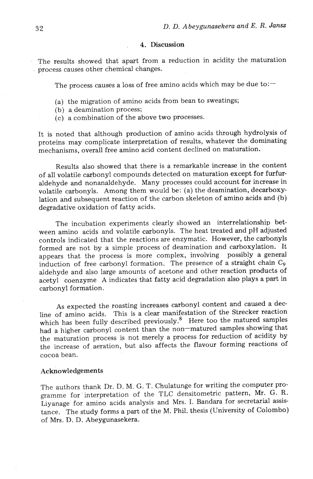#### 4. Discussion

The results showed that apart from a reduction in acidity the maturation process causes other chemical changes.

The process causes a loss of free amino acids which may be due to: $-$ 

- (a) the migration of amino acids from bean to sweatings;
- (b) a deamination process;
- (c) a combination of the above two processes.

It is noted that although production of amino acids through hydrolysis of proteins may complicate interpretation of results, whatever the dominating mechanisms, overall free amino acid content declined on maturation.

Results also showed that there is a remarkable increase in the content of all volatile carbonyl compounds detected on maturation except for furfuraldehyde and nonanaldehyde. Many processes could account for increase in volatile carbonyls. Among them would be: (a) the deamination, decarboxylation and subsequent reaction of the carbon skeleton of amino acids and (b) degradative oxidation of fatty acids.

The incubation experiments clearly showed an interrelationship bet ween amino acids and volatile carbonyls. The heat treated and pH adjusted controls indicated that the reactions are enzymatic. However, the carbonyls formed are not by a simple process of deamination and carboxylation. It appears that the process is more complex, involving possibly a general induction of free carbonyl formation. The presence of a straight chain *C9*  aldehyde and also large amounts of acetone and other reaction products of acetyl coenzyme A indicates that fatty acid degradation also plays a part in carbonyl formation.

As expected the roasting increases carbonyl content and caused a decline of amino acids. This is a clear manifestation of the Strecker reaction which has been fully described previously.<sup>8</sup> Here too the matured samples had a higher carbonyl content than the non-matured samples showing that the maturation process is not merely a process for reduction of acidity by the increase of aeration, but also affects the flavour forming reactions of cocoa bean.

#### Acknowledgements

The authors thank Dr. D. M. G. T. Chulatunge for writing the computer programme for 'interpretation of the TLC densitometric pattern, Mr. G. R. Liyanage for amino acids analysis and Mrs. I. Bandara for secretarial assistance. The study forms a part of the M. Phil. thesis (University of Colombo) of Mrs. D. D. Abeygunasekera.